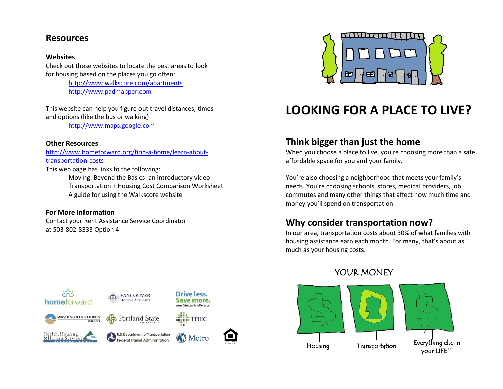#### **Resources**

#### **Websites**

Check out these websites to locate the best areas to look for housing based on the places you go often:

> <http://www.walkscore.com/apartments> [http://www.padmapper.com](http://www.padmapper.com/)

This website can help you figure out travel distances, times and options (like the bus or walking)

[http://www.maps.google.com](http://www.maps.google.com/)

#### **Other Resources**

[http://www.homeforward.org/find-a-home/learn-about](http://www.homeforward.org/find-a-home/learn-about-transportation-costs)[transportation-costs](http://www.homeforward.org/find-a-home/learn-about-transportation-costs)

This web page has links to the following: Moving: Beyond the Basics -an introductory video Transportation + Housing Cost Comparison Worksheet A guide for using the Walkscore website

#### **For More Information**

Contact your Rent Assistance Service Coordinator at 503-802-8333 Option 4





# **LOOKING FOR A PLACE TO LIVE?**

# **Think bigger than just the home**

When you choose a place to live, you're choosing more than a safe, affordable space for you and your family.

You're also choosing a neighborhood that meets your family's needs. You're choosing schools, stores, medical providers, job commutes and many other things that affect how much time and money you'll spend on transportation.

# **Why consider transportation now?**

In our area, transportation costs about 30% of what families with housing assistance earn each month. For many, that's about as much as your housing costs.

# YOUR MONEY